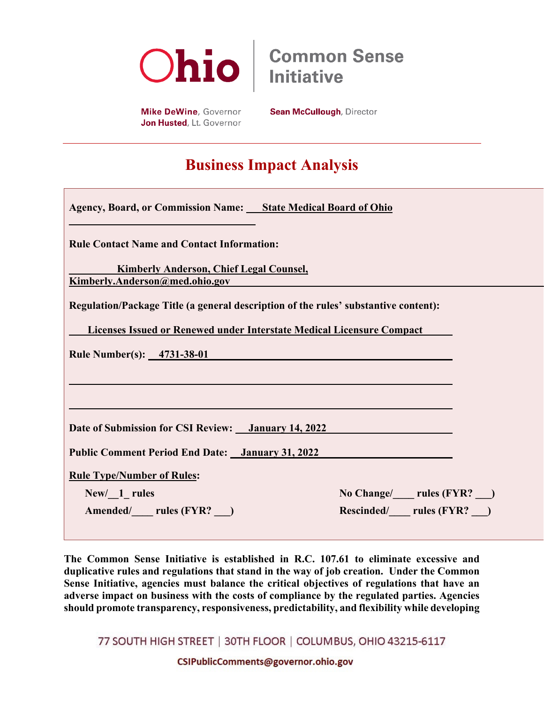

**Common Sense Initiative** 

Mike DeWine, Governor Jon Husted, Lt. Governor **Sean McCullough, Director** 

## **Business Impact Analysis**

| <b>Agency, Board, or Commission Name:</b> State Medical Board of Ohio                                                                                        |                                                                                                                                                                                                                               |
|--------------------------------------------------------------------------------------------------------------------------------------------------------------|-------------------------------------------------------------------------------------------------------------------------------------------------------------------------------------------------------------------------------|
| <b>Rule Contact Name and Contact Information:</b>                                                                                                            |                                                                                                                                                                                                                               |
| <b>Kimberly Anderson, Chief Legal Counsel,</b><br>Kimberly.Anderson@med.ohio.gov                                                                             |                                                                                                                                                                                                                               |
| Regulation/Package Title (a general description of the rules' substantive content):<br>Licenses Issued or Renewed under Interstate Medical Licensure Compact |                                                                                                                                                                                                                               |
| <b>Rule Number(s):</b> 4731-38-01                                                                                                                            |                                                                                                                                                                                                                               |
| Date of Submission for CSI Review: <i>January 14, 2022</i>                                                                                                   |                                                                                                                                                                                                                               |
| <b>Public Comment Period End Date:</b> January 31, 2022                                                                                                      |                                                                                                                                                                                                                               |
| <b>Rule Type/Number of Rules:</b>                                                                                                                            |                                                                                                                                                                                                                               |
| New/ 1 rules                                                                                                                                                 | No Change/ letter rules (FYR?  lettermules (FYR?  lettermules (FYR?  lettermules (FYR?  lettermules (FYR?  lettermules (FYR?  lettermules (FYR?  lettermules (FYR?  lettermules (FYR?   lettermules (FYR?   lettermules (FYR? |
| Amended/ rules (FYR?)                                                                                                                                        | Rescinded/ rules (FYR?)                                                                                                                                                                                                       |

**The Common Sense Initiative is established in R.C. 107.61 to eliminate excessive and duplicative rules and regulations that stand in the way of job creation. Under the Common Sense Initiative, agencies must balance the critical objectives of regulations that have an adverse impact on business with the costs of compliance by the regulated parties. Agencies should promote transparency, responsiveness, predictability, and flexibility while developing** 

77 SOUTH HIGH STREET | 30TH FLOOR | COLUMBUS, OHIO 43215-6117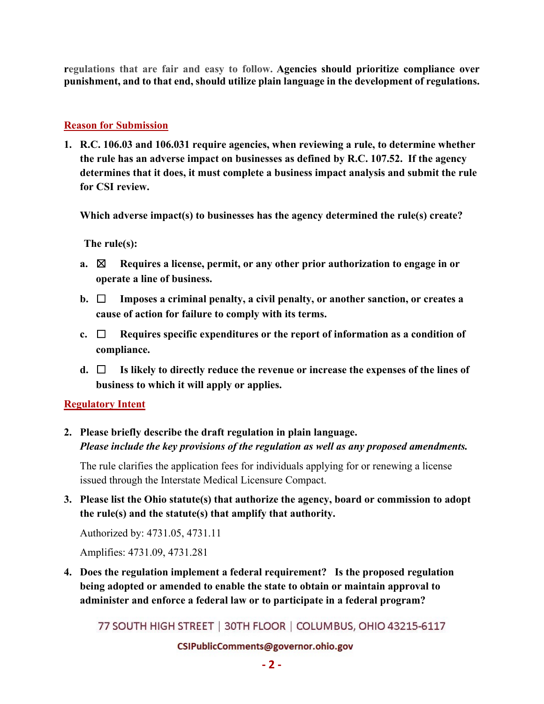**regulations that are fair and easy to follow. Agencies should prioritize compliance over punishment, and to that end, should utilize plain language in the development of regulations.** 

#### **Reason for Submission**

**1. R.C. 106.03 and 106.031 require agencies, when reviewing a rule, to determine whether the rule has an adverse impact on businesses as defined by R.C. 107.52. If the agency determines that it does, it must complete a business impact analysis and submit the rule for CSI review.** 

**Which adverse impact(s) to businesses has the agency determined the rule(s) create?** 

**The rule(s):**

- **a.** ☒ **Requires a license, permit, or any other prior authorization to engage in or operate a line of business.**
- **b.** ☐ **Imposes a criminal penalty, a civil penalty, or another sanction, or creates a cause of action for failure to comply with its terms.**
- **c.** ☐ **Requires specific expenditures or the report of information as a condition of compliance.**
- **d.** ☐ **Is likely to directly reduce the revenue or increase the expenses of the lines of business to which it will apply or applies.**

#### **Regulatory Intent**

**2. Please briefly describe the draft regulation in plain language.**  *Please include the key provisions of the regulation as well as any proposed amendments.*

The rule clarifies the application fees for individuals applying for or renewing a license issued through the Interstate Medical Licensure Compact.

**3. Please list the Ohio statute(s) that authorize the agency, board or commission to adopt the rule(s) and the statute(s) that amplify that authority.** 

Authorized by: 4731.05, 4731.11

Amplifies: 4731.09, 4731.281

**4. Does the regulation implement a federal requirement? Is the proposed regulation being adopted or amended to enable the state to obtain or maintain approval to administer and enforce a federal law or to participate in a federal program?**

77 SOUTH HIGH STREET | 30TH FLOOR | COLUMBUS, OHIO 43215-6117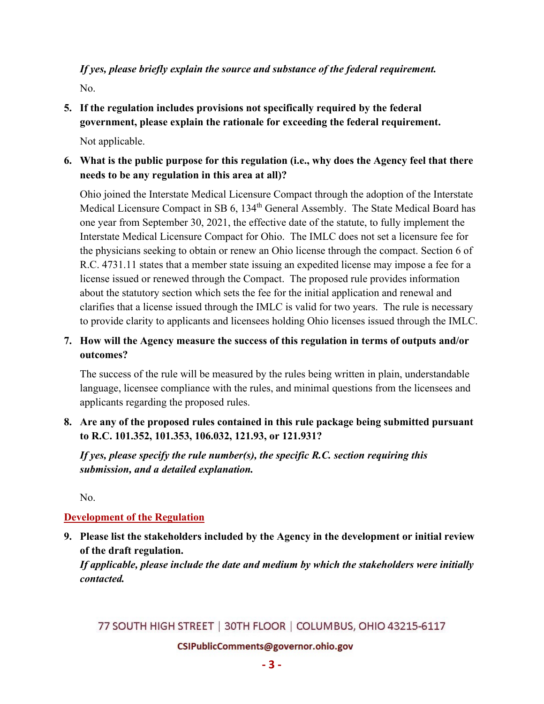### *If yes, please briefly explain the source and substance of the federal requirement.* No.

**5. If the regulation includes provisions not specifically required by the federal government, please explain the rationale for exceeding the federal requirement.**

Not applicable.

**6. What is the public purpose for this regulation (i.e., why does the Agency feel that there needs to be any regulation in this area at all)?**

Ohio joined the Interstate Medical Licensure Compact through the adoption of the Interstate Medical Licensure Compact in SB 6, 134<sup>th</sup> General Assembly. The State Medical Board has one year from September 30, 2021, the effective date of the statute, to fully implement the Interstate Medical Licensure Compact for Ohio. The IMLC does not set a licensure fee for the physicians seeking to obtain or renew an Ohio license through the compact. Section 6 of R.C. 4731.11 states that a member state issuing an expedited license may impose a fee for a license issued or renewed through the Compact. The proposed rule provides information about the statutory section which sets the fee for the initial application and renewal and clarifies that a license issued through the IMLC is valid for two years. The rule is necessary to provide clarity to applicants and licensees holding Ohio licenses issued through the IMLC.

**7. How will the Agency measure the success of this regulation in terms of outputs and/or outcomes?**

The success of the rule will be measured by the rules being written in plain, understandable language, licensee compliance with the rules, and minimal questions from the licensees and applicants regarding the proposed rules.

**8. Are any of the proposed rules contained in this rule package being submitted pursuant to R.C. 101.352, 101.353, 106.032, 121.93, or 121.931?** 

*If yes, please specify the rule number(s), the specific R.C. section requiring this submission, and a detailed explanation.*

No.

#### **Development of the Regulation**

**9. Please list the stakeholders included by the Agency in the development or initial review of the draft regulation.** 

*If applicable, please include the date and medium by which the stakeholders were initially contacted.*

77 SOUTH HIGH STREET | 30TH FLOOR | COLUMBUS, OHIO 43215-6117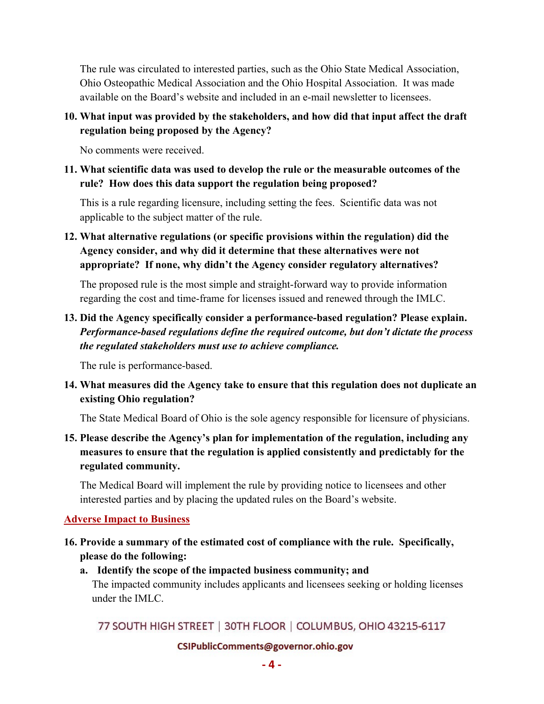The rule was circulated to interested parties, such as the Ohio State Medical Association, Ohio Osteopathic Medical Association and the Ohio Hospital Association. It was made available on the Board's website and included in an e-mail newsletter to licensees.

**10. What input was provided by the stakeholders, and how did that input affect the draft regulation being proposed by the Agency?**

No comments were received.

**11. What scientific data was used to develop the rule or the measurable outcomes of the rule? How does this data support the regulation being proposed?**

This is a rule regarding licensure, including setting the fees. Scientific data was not applicable to the subject matter of the rule.

**12. What alternative regulations (or specific provisions within the regulation) did the Agency consider, and why did it determine that these alternatives were not appropriate? If none, why didn't the Agency consider regulatory alternatives?**

The proposed rule is the most simple and straight-forward way to provide information regarding the cost and time-frame for licenses issued and renewed through the IMLC.

**13. Did the Agency specifically consider a performance-based regulation? Please explain.** *Performance-based regulations define the required outcome, but don't dictate the process the regulated stakeholders must use to achieve compliance.*

The rule is performance-based.

**14. What measures did the Agency take to ensure that this regulation does not duplicate an existing Ohio regulation?** 

The State Medical Board of Ohio is the sole agency responsible for licensure of physicians.

**15. Please describe the Agency's plan for implementation of the regulation, including any measures to ensure that the regulation is applied consistently and predictably for the regulated community.**

The Medical Board will implement the rule by providing notice to licensees and other interested parties and by placing the updated rules on the Board's website.

#### **Adverse Impact to Business**

- **16. Provide a summary of the estimated cost of compliance with the rule. Specifically, please do the following:**
	- **a. Identify the scope of the impacted business community; and** The impacted community includes applicants and licensees seeking or holding licenses under the IMLC.

77 SOUTH HIGH STREET | 30TH FLOOR | COLUMBUS, OHIO 43215-6117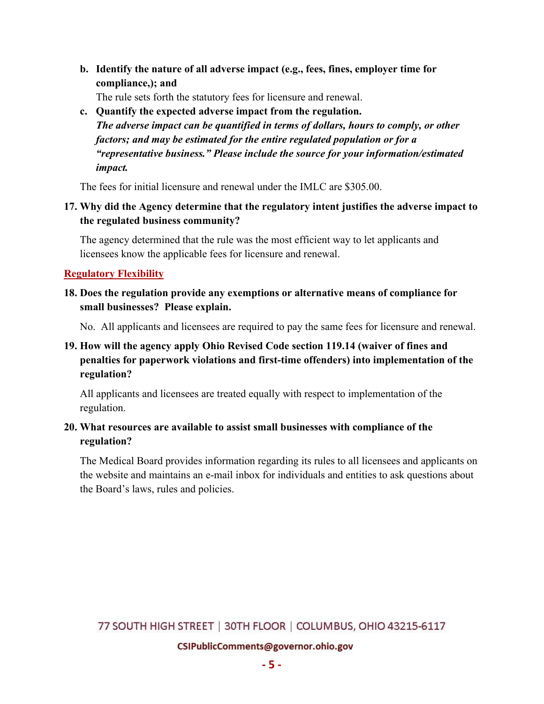**b. Identify the nature of all adverse impact (e.g., fees, fines, employer time for compliance,); and**

The rule sets forth the statutory fees for licensure and renewal.

**c. Quantify the expected adverse impact from the regulation.**   *The adverse impact can be quantified in terms of dollars, hours to comply, or other factors; and may be estimated for the entire regulated population or for a "representative business." Please include the source for your information/estimated impact.*

The fees for initial licensure and renewal under the IMLC are \$305.00.

**17. Why did the Agency determine that the regulatory intent justifies the adverse impact to the regulated business community?**

The agency determined that the rule was the most efficient way to let applicants and licensees know the applicable fees for licensure and renewal.

#### **Regulatory Flexibility**

**18. Does the regulation provide any exemptions or alternative means of compliance for small businesses? Please explain.**

No. All applicants and licensees are required to pay the same fees for licensure and renewal.

#### **19. How will the agency apply Ohio Revised Code section 119.14 (waiver of fines and penalties for paperwork violations and first-time offenders) into implementation of the regulation?**

All applicants and licensees are treated equally with respect to implementation of the regulation.

#### **20. What resources are available to assist small businesses with compliance of the regulation?**

The Medical Board provides information regarding its rules to all licensees and applicants on the website and maintains an e-mail inbox for individuals and entities to ask questions about the Board's laws, rules and policies.